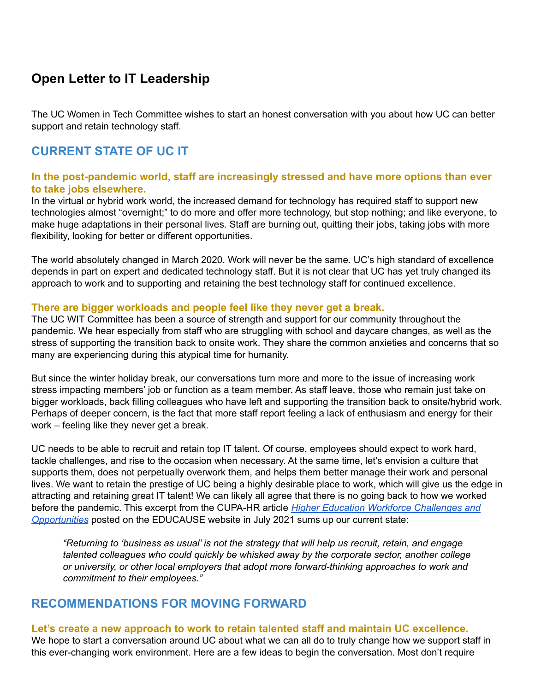# **Open Letter to IT Leadership**

The UC Women in Tech Committee wishes to start an honest conversation with you about how UC can better support and retain technology staff.

## **CURRENT STATE OF UC IT**

#### **In the post-pandemic world, staff are increasingly stressed and have more options than ever to take jobs elsewhere.**

In the virtual or hybrid work world, the increased demand for technology has required staff to support new technologies almost "overnight;" to do more and offer more technology, but stop nothing; and like everyone, to make huge adaptations in their personal lives. Staff are burning out, quitting their jobs, taking jobs with more flexibility, looking for better or different opportunities.

The world absolutely changed in March 2020. Work will never be the same. UC's high standard of excellence depends in part on expert and dedicated technology staff. But it is not clear that UC has yet truly changed its approach to work and to supporting and retaining the best technology staff for continued excellence.

#### **There are bigger workloads and people feel like they never get a break.**

The UC WIT Committee has been a source of strength and support for our community throughout the pandemic. We hear especially from staff who are struggling with school and daycare changes, as well as the stress of supporting the transition back to onsite work. They share the common anxieties and concerns that so many are experiencing during this atypical time for humanity.

But since the winter holiday break, our conversations turn more and more to the issue of increasing work stress impacting members' job or function as a team member. As staff leave, those who remain just take on bigger workloads, back filling colleagues who have left and supporting the transition back to onsite/hybrid work. Perhaps of deeper concern, is the fact that more staff report feeling a lack of enthusiasm and energy for their work – feeling like they never get a break.

UC needs to be able to recruit and retain top IT talent. Of course, employees should expect to work hard, tackle challenges, and rise to the occasion when necessary. At the same time, let's envision a culture that supports them, does not perpetually overwork them, and helps them better manage their work and personal lives. We want to retain the prestige of UC being a highly desirable place to work, which will give us the edge in attracting and retaining great IT talent! We can likely all agree that there is no going back to how we worked before the pandemic. This excerpt from the CUPA-HR article *Higher Education Workforce [Challenges](https://library.educause.edu/resources/2021/7/higher-education-workforce-challenges-and-opportunities) and [Opportunities](https://library.educause.edu/resources/2021/7/higher-education-workforce-challenges-and-opportunities)* posted on the EDUCAUSE website in July 2021 sums up our current state:

*"Returning to 'business as usual' is not the strategy that will help us recruit, retain, and engage talented colleagues who could quickly be whisked away by the corporate sector, another college or university, or other local employers that adopt more forward-thinking approaches to work and commitment to their employees."*

### **RECOMMENDATIONS FOR MOVING FORWARD**

#### **Let's create a new approach to work to retain talented staff and maintain UC excellence.**

We hope to start a conversation around UC about what we can all do to truly change how we support staff in this ever-changing work environment. Here are a few ideas to begin the conversation. Most don't require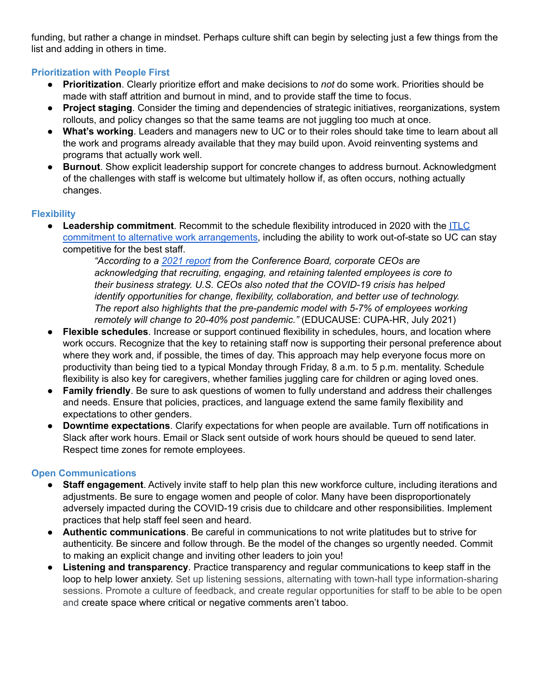funding, but rather a change in mindset. Perhaps culture shift can begin by selecting just a few things from the list and adding in others in time.

#### **Prioritization with People First**

- **Prioritization**. Clearly prioritize effort and make decisions to *not* do some work. Priorities should be made with staff attrition and burnout in mind, and to provide staff the time to focus.
- **Project staging**. Consider the timing and dependencies of strategic initiatives, reorganizations, system rollouts, and policy changes so that the same teams are not juggling too much at once.
- **What's working**. Leaders and managers new to UC or to their roles should take time to learn about all the work and programs already available that they may build upon. Avoid reinventing systems and programs that actually work well.
- **Burnout**. Show explicit leadership support for concrete changes to address burnout. Acknowledgment of the challenges with staff is welcome but ultimately hollow if, as often occurs, nothing actually changes.

#### **Flexibility**

**Leadership commitment**. Recommit to the schedule flexibility introduced in 2020 with the [ITLC](https://cio.ucop.edu/cios-endorse-alternative-work-arrangements/) commitment to alternative work [arrangements,](https://cio.ucop.edu/cios-endorse-alternative-work-arrangements/) including the ability to work out-of-state so UC can stay competitive for the best staff.

> *"According to a 2021 [report](https://www.conference-board.org/pdfdownload.cfm?masterProductID=23597) from the Conference Board, corporate CEOs are acknowledging that recruiting, engaging, and retaining talented employees is core to their business strategy. U.S. CEOs also noted that the COVID-19 crisis has helped identify opportunities for change, flexibility, collaboration, and better use of technology. The report also highlights that the pre-pandemic model with 5-7% of employees working remotely will change to 20-40% post pandemic."* (EDUCAUSE: CUPA-HR, July 2021)

- **Flexible schedules**. Increase or support continued flexibility in schedules, hours, and location where work occurs. Recognize that the key to retaining staff now is supporting their personal preference about where they work and, if possible, the times of day. This approach may help everyone focus more on productivity than being tied to a typical Monday through Friday, 8 a.m. to 5 p.m. mentality. Schedule flexibility is also key for caregivers, whether families juggling care for children or aging loved ones.
- **Family friendly**. Be sure to ask questions of women to fully understand and address their challenges and needs. Ensure that policies, practices, and language extend the same family flexibility and expectations to other genders.
- **Downtime expectations**. Clarify expectations for when people are available. Turn off notifications in Slack after work hours. Email or Slack sent outside of work hours should be queued to send later. Respect time zones for remote employees.

#### **Open Communications**

- **Staff engagement**. Actively invite staff to help plan this new workforce culture, including iterations and adjustments. Be sure to engage women and people of color. Many have been disproportionately adversely impacted during the COVID-19 crisis due to childcare and other responsibilities. Implement practices that help staff feel seen and heard.
- **Authentic communications**. Be careful in communications to not write platitudes but to strive for authenticity. Be sincere and follow through. Be the model of the changes so urgently needed. Commit to making an explicit change and inviting other leaders to join you!
- **Listening and transparency**. Practice transparency and regular communications to keep staff in the loop to help lower anxiety. Set up listening sessions, alternating with town-hall type information-sharing sessions. Promote a culture of feedback, and create regular opportunities for staff to be able to be open and create space where critical or negative comments aren't taboo.